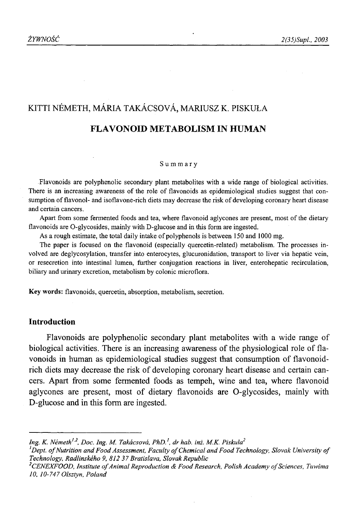# KITTI NEMETH, MARIA TAKACSOVA, MARIUSZ K. PISKUŁA **FLAVONOID METABOLISM IN HUMAN**

#### Summary

Flavonoids are polyphenolic secondary plant metabolites with a wide range of biological activities. There is an increasing awareness of the role of flavonoids as epidemiological studies suggest that consumption of flavonol- and isoflavone-rich diets may decrease the risk of developing coronary heart disease and certain cancers.

Apart from some fermented foods and tea, where flavonoid aglycones are present, most of the dietary flavonoids are O-glycosides, mainly with D-glucose and in this form are ingested.

As a rough estimate, the total daily intake of polyphenols is between 150 and 1000 mg.

The paper is focused on the flavonoid (especially quercetin-related) metabolism. The processes involved are deglycosylation, transfer into enterocytes, glucuronidation, transport to liver via hepatic vein, or resecretion into intestinal lumen, further conjugation reactions in liver, enterohepatic recirculation, biliary and urinary excretion, metabolism by colonic microflora.

Key words: flavonoids, quercetin, absorption, metabolism, secretion.

#### **Introduction**

Flavonoids are polyphenolic secondary plant metabolites with a wide range of biological activities. There is an increasing awareness of the physiological role of flavonoids in human as epidemiological studies suggest that consumption of flavonoidrich diets may decrease the risk of developing coronary heart disease and certain cancers. Apart from some fermented foods as tempeh, wine and tea, where flavonoid aglycones are present, most of dietary flavonoids are O-glycosides, mainly with D-glucose and in this form are ingested.

*Ing. K. Nemeth1'2, Doc. Ing. M. Takacsova, PhD.1, dr hab. inż. M.K. Piskula2*

<sup>1</sup>Dept. of Nutrition and Food Assessment, Faculty of Chemical and Food Technology, Slovak University of *Technology, Radlinskeho 9, 812 37 Bratislava, Slovak Republic*

<sup>2</sup>CENEXFOOD, Institute of Animal Reproduction & Food Research, Polish Academy of Sciences, Tuwima *10, 10-747 Olsztyn, Poland*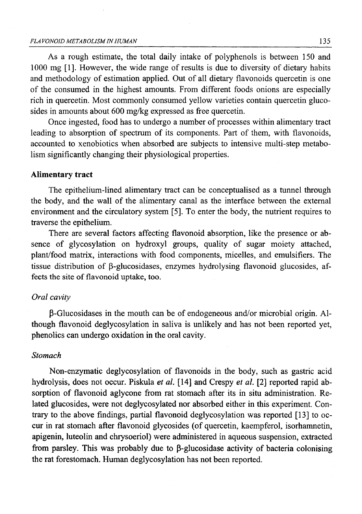As a rough estimate, the total daily intake of polyphenols is between 150 and 1000 mg [1], However, the wide range of results is due to diversity of dietary habits and methodology of estimation applied. Out of all dietary flavonoids quercetin is one of the consumed in the highest amounts. From different foods onions are especially rich in quercetin. Most commonly consumed yellow varieties contain quercetin glucosides in amounts about 600 mg/kg expressed as free quercetin.

Once ingested, food has to undergo a number of processes within alimentary tract leading to absorption of spectrum of its components. Part of them, with flavonoids, accounted to xenobiotics when absorbed are subjects to intensive multi-step metabolism significantly changing their physiological properties.

#### **Alimentary tract**

The epithelium-lined alimentary tract can be conceptualised as a tunnel through the body, and the wall of the alimentary canal as the interface between the external environment and the circulatory system [5], To enter the body, the nutrient requires to traverse the epithelium.

There are several factors affecting flavonoid absorption, like the presence or absence of glycosylation on hydroxyl groups, quality of sugar moiety attached, plant/food matrix, interactions with food components, micelles, and emulsifiers. The tissue distribution of B-glucosidases, enzymes hydrolysing flavonoid glucosides, affects the site of flavonoid uptake, too.

## *Oral cavity*

P-Glucosidases in the mouth can be of endogeneous and/or microbial origin. Although flavonoid deglycosylation in saliva is unlikely and has not been reported yet, phenolics can undergo oxidation in the oral cavity.

## *Stomach*

Non-enzymatic deglycosylation of flavonoids in the body, such as gastric acid hydrolysis, does not occur. Piskula *et al.* [14] and Crespy *et al.* [2] reported rapid absorption of flavonoid aglycone from rat stomach after its in situ administration. Related glucosides, were not deglycosylated nor absorbed either in this experiment. Contrary to the above findings, partial flavonoid deglycosylation was reported [13] to occur in rat stomach after flavonoid glycosides (of quercetin, kaempferol, isorhamnetin, apigenin, luteolin and chrysoeriol) were administered in aqueous suspension, extracted from parsley. This was probably due to  $\beta$ -glucosidase activity of bacteria colonising the rat forestomach. Human deglycosylation has not been reported.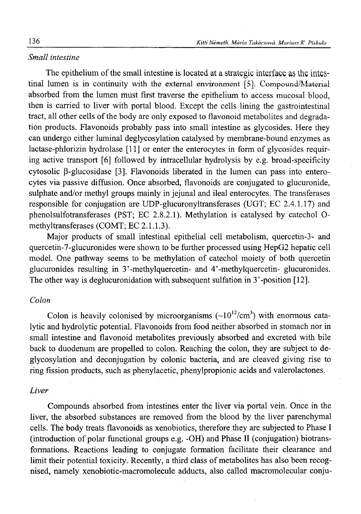# *Small intestine*

The epithelium of the small intestine **is** located **at a strategic interface as the intes**tinal lumen is in continuity with the **external environment [5], Compound/Material** absorbed from the lumen must first traverse the epithelium to access mucosal blood, then is carried to liver with portal blood. Except the cells lining the gastrointestinal tract, all other cells of the body are only exposed to flavonoid metabolites and degradation products. Flavonoids probably pass into small intestine as glycosides. Here they can undergo either luminal deglycosylation catalysed by membrane-bound enzymes as lactase-phlorizin hydrolase [11] or enter the enterocytes in form of glycosides requiring active transport  $[6]$  followed by intracellular hydrolysis by e.g. broad-specificity  $cytosolic \beta-glucosidase [3]$ . Flavonoids liberated in the lumen can pass into enterocytes via passive diffusion. Once absorbed, flavonoids are conjugated to glucuronide, sulphate and/or methyl groups mainly in jejunal and ileal enterocytes. The transferases responsible for conjugation are UDP-glucuronyltransferases (UGT; EC 2.4.1.17) and phenolsulfotransferases (PST; EC 2.8.2.1). Methylation is catalysed by catechol Omethyltransferases (COMT; EC 2.1.1.3).

Major products of small intestinal epithelial cell metabolism, quercetin-3- and quercetin-7-glucuronides were shown to be further processed using HepG2 hepatic cell model. One pathway seems to be methylation of catechol moiety of both quercetin glucuronides resulting in 3'-methylquercetin- and 4'-methylquercetin- glucuronides. The other way is deglucuronidation with subsequent sulfation in 3'-position [12].

## *Colon*

Colon is heavily colonised by microorganisms  $({\sim}10^{12}/\text{cm}^3)$  with enormous catalytic and hydrolytic potential. Flavonoids from food neither absorbed in stomach nor in small intestine and flavonoid metabolites previously absorbed and excreted with bile back to duodenum are propelled to colon. Reaching the colon, they are subject to deglycosylation and deconjugation by colonic bacteria, and are cleaved giving rise to ring fission products, such as phenylacetic, phenylpropionic acids and valerolactones.

## *Liver*

Compounds absorbed from intestines enter the liver via portal vein. Once in the liver, the absorbed substances are removed from the blood by the liver parenchymal cells. The body treats flavonoids as xenobiotics, therefore they are subjected to Phase I (introduction of polar functional groups e.g. -OH) and Phase II (conjugation) biotransformations. Reactions leading to conjugate formation facilitate their clearance and limit their potential toxicity. Recently, a third class of metabolites has also been recognised, namely xenobiotic-macromolecule adducts, also called macromolecular conju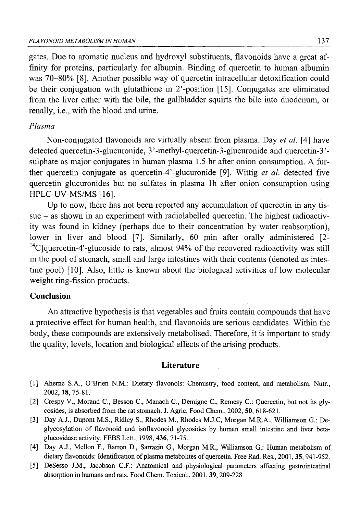gates. Due to aromatic nucleus and hydroxyl substituents, flavonoids have a great affinity for proteins, particularly for albumin. Binding of quercetin to human albumin was 70–80% [8]. Another possible way of quercetin intracellular detoxification could be their conjugation with glutathione in 2'-position [15], Conjugates are eliminated from the liver either with the bile, the gallbladder squirts the bile into duodenum, or renally, i.e., with the blood and urine.

# *Plasma*

Non-conjugated flavonoids are virtually absent from plasma. Day *et al.* [4] have detected quercetin-3-glucuronide, 3'-methyl-quercetin-3-glucuronide and quercetin-3' sulphate as major conjugates in human plasma 1.5 hr after onion consumption. A further quercetin conjugate as quercetin-4'-glucuronide [9], Wittig *et al.* detected five quercetin glucuronides but no sulfates in plasma lh after onion consumption using HPLC-UV-MS/MS [16],

Up to now, there has not been reported any accumulation of quercetin in any tissue - as shown in an experiment with radiolabelled quercetin. The highest radioactivity was found in kidney (perhaps due to their concentration by water reabsorption), lower in liver and blood [7]. Similarly, 60 min after orally administered [2-<sup>14</sup>C]quercetin-4'-glucoside to rats, almost 94% of the recovered radioactivity was still in the pool of stomach, small and large intestines with their contents (denoted as intestine pool) [10], Also, little is known about the biological activities of low molecular weight ring-fission products.

# **Conclusion**

An attractive hypothesis is that vegetables and fruits contain compounds that have a protective effect for human health, and flavonoids are serious candidates. Within the body, these compounds are extensively metabolised. Therefore, it is important to study the quality, levels, location and biological effects of the arising products.

#### **Literature**

- [1] Aheme S.A., O 'Brien N.M.: Dietary flavonols: Chemistry, food content, and metabolism. Nutr., 2002,18, 75-81.
- [2] Crespy V., Morand C., Besson C., Manach C., Demigne C., Remesy C.: Quercetin, but not its glycosides, is absorbed from the rat stomach. J. Agric. Food Chem., 2002, 50, 618-621.
- [3] Day A.J., Dupont M.S., Ridley S., Rhodes M., Rhodes M.J.C, Morgan M.R.A., Williamson G.: Deglycosylation of flavonoid and isoflavonoid glycosides by human small intestine and liver betaglucosidase activity. FEBS Lett., 1998,436, 71-75.
- [4] Day A.J., Mellon F., Barron D., Sarrazin G., Morgan M.R., Williamson G.: Human metabolism of dietary flavonoids: Identification of plasma metabolites of quercetin. Free Rad. Res., 2001, 35, 941-952.
- [5] DeSesso J.M., Jacobson C.F.: Anatomical and physiological parameters affecting gastrointestinal absorption in humans and rats. Food Chem. Toxicol., 2001,39,209-228.